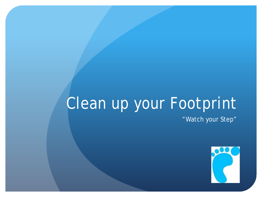# Clean up your Footprint

"Watch your Step"

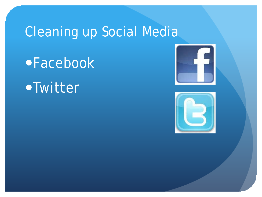## Cleaning up Social Media

Facebook

# Twitter



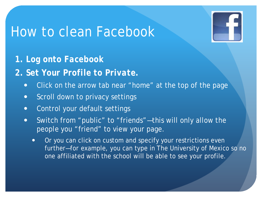

*1. Log onto Facebook* 

*2. Set Your Profile to Private.* 

- Click on the arrow tab near "home" at the top of the page
- **•** Scroll down to privacy settings
- Control your default settings
- Switch from "public" to "friends"—this will only allow the people you "friend" to view your page.
	- Or you can click on custom and specify your restrictions even further—for example, you can type in The University of Mexico so no one affiliated with the school will be able to see your profile.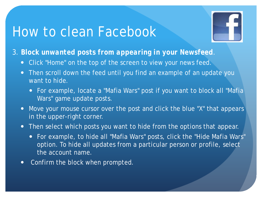

- *3. Block unwanted posts from appearing in your Newsfeed.* 
	- Click "Home" on the top of the screen to view your news feed.
	- Then scroll down the feed until you find an example of an update you want to hide.
		- For example, locate a "Mafia Wars" post if you want to block all "Mafia Wars" game update posts.
	- Move your mouse cursor over the post and click the blue "X" that appears in the upper-right corner.
	- Then select which posts you want to hide from the options that appear.
		- For example, to hide all "Mafia Wars" posts, click the "Hide Mafia Wars" option. To hide all updates from a particular person or profile, select the account name.
	- Confirm the block when prompted.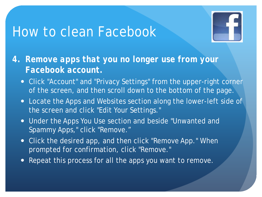

- *4. Remove apps that you no longer use from your Facebook account.* 
	- Click "Account" and "Privacy Settings" from the upper-right corner of the screen, and then scroll down to the bottom of the page.
	- Locate the Apps and Websites section along the lower-left side of the screen and click "Edit Your Settings."
	- Under the Apps You Use section and beside "Unwanted and Spammy Apps," click "Remove."
	- Click the desired app, and then click "Remove App." When prompted for confirmation, click "Remove."
	- Repeat this process for all the apps you want to remove.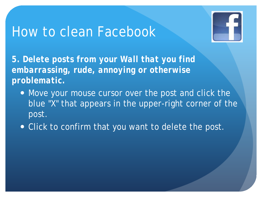

*5. Delete posts from your Wall that you find embarrassing, rude, annoying or otherwise problematic.* 

- Move your mouse cursor over the post and click the blue "X" that appears in the upper-right corner of the post.
- **.** Click to confirm that you want to delete the post.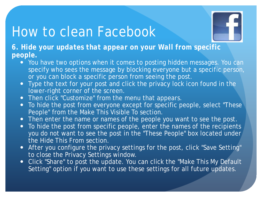

*6. Hide your updates that appear on your Wall from specific people.* 

- You have two options when it comes to posting hidden messages. You can specify who sees the message by blocking everyone but a specific person, or you can block a specific person from seeing the post.
- Type the text for your post and click the privacy lock icon found in the lower-right corner of the screen.
- Then click "Customize" from the menu that appears.
- To hide the post from everyone except for specific people, select "These People" from the Make This Visible To section.
- Then enter the name or names of the people you want to see the post.
- To hide the post from specific people, enter the names of the recipients you do not want to see the post in the "These People" box located under the Hide This From section.
- After you configure the privacy settings for the post, click "Save Setting" to close the Privacy Settings window.
- Click "Share" to post the update. You can click the "Make This My Default Setting" option if you want to use these settings for all future updates.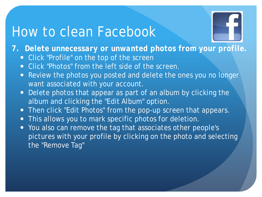

*7. Delete unnecessary or unwanted photos from your profile.* 

- Click "Profile" on the top of the screen
- Click "Photos" from the left side of the screen.
- Review the photos you posted and delete the ones you no longer want associated with your account.
- Delete photos that appear as part of an album by clicking the album and clicking the "Edit Album" option.
- Then click "Edit Photos" from the pop-up screen that appears.
- This allows you to mark specific photos for deletion.
- You also can remove the tag that associates other people's pictures with your profile by clicking on the photo and selecting the "Remove Tag"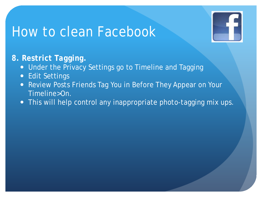

#### *8. Restrict Tagging.*

- **Under the Privacy Settings go to Timeline and Tagging**
- Edit Settings
- Review Posts Friends Tag You in Before They Appear on Your Timeline>On.
- . This will help control any inappropriate photo-tagging mix ups.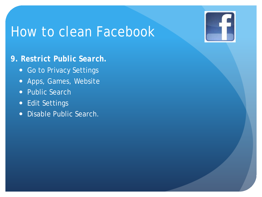#### *9. Restrict Public Search.*

- Go to Privacy Settings
- Apps, Games, Website
- Public Search
- Edit Settings
- Disable Public Search.